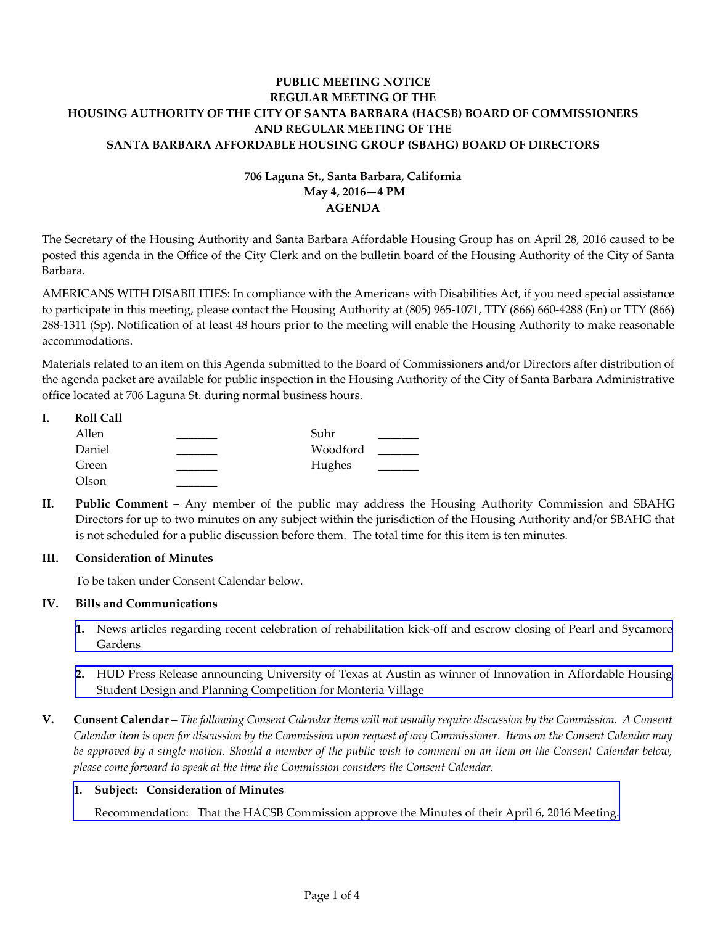# **PUBLIC MEETING NOTICE REGULAR MEETING OF THE HOUSING AUTHORITY OF THE CITY OF SANTA BARBARA (HACSB) BOARD OF COMMISSIONERS AND REGULAR MEETING OF THE SANTA BARBARA AFFORDABLE HOUSING GROUP (SBAHG) BOARD OF DIRECTORS**

# **706 Laguna St., Santa Barbara, California May 4, 2016—4 PM AGENDA**

The Secretary of the Housing Authority and Santa Barbara Affordable Housing Group has on April 28, 2016 caused to be posted this agenda in the Office of the City Clerk and on the bulletin board of the Housing Authority of the City of Santa Barbara.

AMERICANS WITH DISABILITIES: In compliance with the Americans with Disabilities Act, if you need special assistance to participate in this meeting, please contact the Housing Authority at (805) 965‐1071, TTY (866) 660‐4288 (En) or TTY (866) 288‐1311 (Sp). Notification of at least 48 hours prior to the meeting will enable the Housing Authority to make reasonable accommodations.

Materials related to an item on this Agenda submitted to the Board of Commissioners and/or Directors after distribution of the agenda packet are available for public inspection in the Housing Authority of the City of Santa Barbara Administrative office located at 706 Laguna St. during normal business hours.

| I. | <b>Roll Call</b> |          |  |
|----|------------------|----------|--|
|    | Allen            | Suhr     |  |
|    | Daniel           | Woodford |  |
|    | Green            | Hughes   |  |
|    | Olson            |          |  |

**II. Public Comment** – Any member of the public may address the Housing Authority Commission and SBAHG Directors for up to two minutes on any subject within the jurisdiction of the Housing Authority and/or SBAHG that is not scheduled for a public discussion before them. The total time for this item is ten minutes.

## **III. Consideration of Minutes**

To be taken under Consent Calendar below.

## **IV. Bills and Communications**

- **1.** News articles regarding recent celebration of [rehabilitation](http://hacsb.org/download/meetings_2016_2/items/05_may/item_IV_I_2016_05_04.pdf) kick-off and escrow closing of Pearl and Sycamore Gardens
- **2.** HUD Press Release announcing University of Texas at Austin as winner of Innovation in Affordable Housing Student Design and Planning [Competition](http://hacsb.org/download/meetings_2016_2/items/05_may/item_IV_II_2016_05_04.pdf) for Monteria Village
- V. Consent Calendar The following Consent Calendar items will not usually require discussion by the Commission. A Consent Calendar item is open for discussion by the Commission upon request of any Commissioner. Items on the Consent Calendar may be approved by a single motion. Should a member of the public wish to comment on an item on the Consent Calendar below, *please come forward to speak at the time the Commission considers the Consent Calendar.*

## **1. Subject: Consideration of Minutes**

[Recommendation:](http://hacsb.org/download/meetings_2016_2/items/05_may/item_V_I_2016_05_04.pdf) That the HACSB Commission approve the Minutes of their April 6, 2016 Meeting.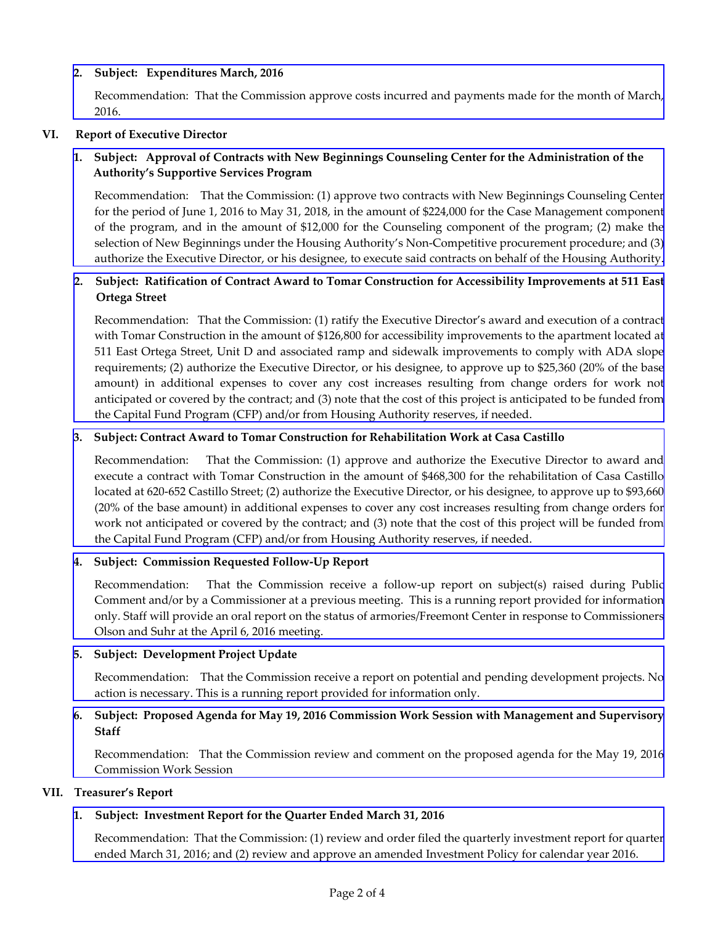## **2. Subject: Expenditures March, 2016**

[Recommendation:](http://hacsb.org/download/meetings_2016_2/items/05_may/item_V_II_2016_05_04.pdf) That the Commission approve costs incurred and payments made for the month of March, 2016.

## **VI. Report of Executive Director**

# 1. Subject: Approval of Contracts with New Beginnings Counseling Center for the Administration of the  **Authority's Supportive Services Program**

[Recommendation:](http://hacsb.org/download/meetings_2016_2/items/05_may/item_VI_I_2016_05_04.pdf) That the Commission: (1) approve two contracts with New Beginnings Counseling Center for the period of June 1, 2016 to May 31, 2018, in the amount of \$224,000 for the Case Management component of the program, and in the amount of \$12,000 for the Counseling component of the program; (2) make the selection of New Beginnings under the Housing Authority's Non‐Competitive procurement procedure; and (3) authorize the Executive Director, or his designee, to execute said contracts on behalf of the Housing Authority.

# 2. Subject: Ratification of Contract Award to Tomar Construction for Accessibility Improvements at 511 East  **Ortega Street**

[Recommendation:](http://hacsb.org/download/meetings_2016_2/items/05_may/item_VI_II_2016_05_04.pdf) That the Commission: (1) ratify the Executive Director's award and execution of a contract with Tomar Construction in the amount of \$126,800 for accessibility improvements to the apartment located at 511 East Ortega Street, Unit D and associated ramp and sidewalk improvements to comply with ADA slope requirements; (2) authorize the Executive Director, or his designee, to approve up to \$25,360 (20% of the base amount) in additional expenses to cover any cost increases resulting from change orders for work not anticipated or covered by the contract; and (3) note that the cost of this project is anticipated to be funded from the Capital Fund Program (CFP) and/or from Housing Authority reserves, if needed.

## **3. Subject: Contract Award to Tomar Construction for Rehabilitation Work at Casa Castillo**

[Recommendation:](http://hacsb.org/download/meetings_2016_2/items/05_may/item_VI_III_2016_05_04.pdf) That the Commission: (1) approve and authorize the Executive Director to award and execute a contract with Tomar Construction in the amount of \$468,300 for the rehabilitation of Casa Castillo located at 620‐652 Castillo Street; (2) authorize the Executive Director, or his designee, to approve up to \$93,660 (20% of the base amount) in additional expenses to cover any cost increases resulting from change orders for work not anticipated or covered by the contract; and (3) note that the cost of this project will be funded from the Capital Fund Program (CFP) and/or from Housing Authority reserves, if needed.

# **4. Subject: Commission Requested Follow‐Up Report**

Recommendation: That the Commission receive a follow-up report on subject(s) raised during Public Comment and/or by a Commissioner at a previous meeting. This is a running report provided for information only. Staff will provide an oral report on the status of [armories/Freemont](http://hacsb.org/download/meetings_2016_2/items/05_may/item_VI_IV_2016_05_04.pdf) Center in response to Commissioners Olson and Suhr at the April 6, 2016 meeting.

## **5. Subject: Development Project Update**

[Recommendation:](http://hacsb.org/download/meetings_2016_2/items/05_may/item_VI_V_2016_05_04.pdf) That the Commission receive a report on potential and pending development projects. No action is necessary. This is a running report provided for information only.

## **6. Subject: Proposed Agenda for May 19, 2016 Commission Work Session with Management and Supervisory Staff**

[Recommendation:](http://hacsb.org/download/meetings_2016_2/items/05_may/item_VI_VI_2016_05_04.pdf) That the Commission review and comment on the proposed agenda for the May 19, 2016 Commission Work Session

## **VII. Treasurer's Report**

## **1. Subject: Investment Report for the Quarter Ended March 31, 2016**

[Recommendation:](http://hacsb.org/download/meetings_2016_2/items/05_may/item_VII_I_2016_05_04.pdf) That the Commission: (1) review and order filed the quarterly investment report for quarter ended March 31, 2016; and (2) review and approve an amended Investment Policy for calendar year 2016.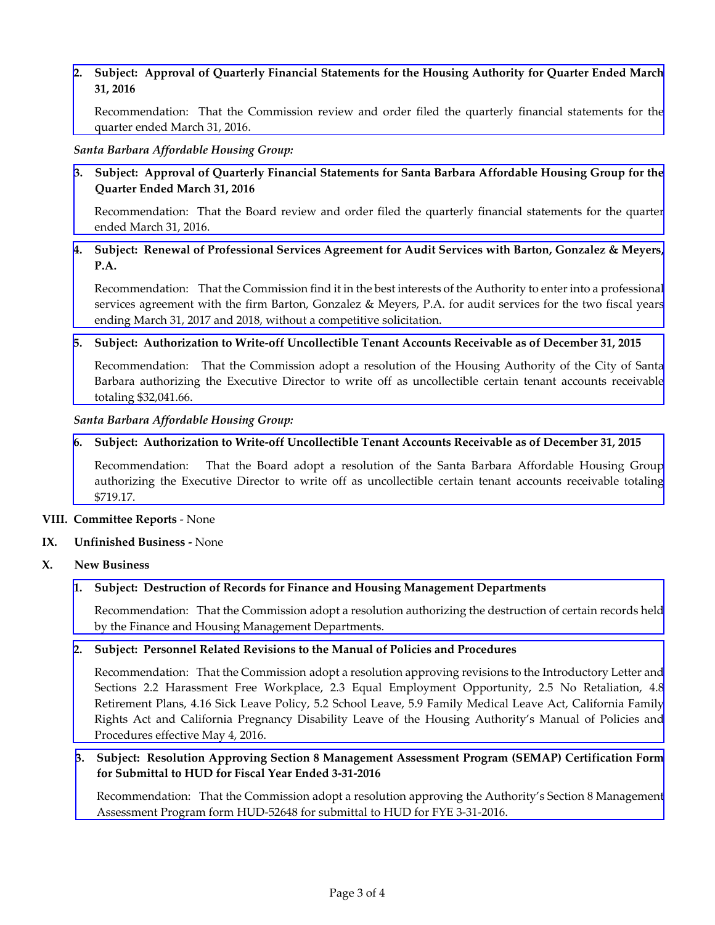## **2. Subject: Approval of Quarterly Financial Statements for the Housing Authority for Quarter Ended March 31, 2016**

[Recommendation:](http://hacsb.org/download/meetings_2016_2/items/05_may/item_VII_II_2016_05_04.pdf) That the Commission review and order filed the quarterly financial statements for the quarter ended March 31, 2016.

#### *Santa Barbara Affordable Housing Group:*

## **3. Subject: Approval of Quarterly Financial Statements for Santa Barbara Affordable Housing Group for the Quarter Ended March 31, 2016**

[Recommendation:](http://hacsb.org/download/meetings_2016_2/items/05_may/item_VII_III_2016_05_04.pdf) That the Board review and order filed the quarterly financial statements for the quarter ended March 31, 2016.

## 4. Subject: Renewal of Professional Services Agreement for Audit Services with Barton, Gonzalez & Meyers, **P.A.**

[Recommendation:](http://hacsb.org/download/meetings_2016_2/items/05_may/item_VII_IV_2016_05_04.pdf) That the Commission find it in the best interests of the Authority to enter into a professional services agreement with the firm Barton, Gonzalez & Meyers, P.A. for audit services for the two fiscal years ending March 31, 2017 and 2018, without a competitive solicitation.

#### **5. Subject: Authorization to Write‐off Uncollectible Tenant Accounts Receivable as of December 31, 2015**

[Recommendation:](http://hacsb.org/download/meetings_2016_2/items/05_may/item_VII_V_2016_05_04.pdf) That the Commission adopt a resolution of the Housing Authority of the City of Santa Barbara authorizing the Executive Director to write off as uncollectible certain tenant accounts receivable totaling \$32,041.66.

#### *Santa Barbara Affordable Housing Group:*

## **6. Subject: Authorization to Write‐off Uncollectible Tenant Accounts Receivable as of December 31, 2015**

[Recommendation:](http://hacsb.org/download/meetings_2016_2/items/05_may/item_VII_VI_2016_05_04.pdf) That the Board adopt a resolution of the Santa Barbara Affordable Housing Group authorizing the Executive Director to write off as uncollectible certain tenant accounts receivable totaling \$719.17.

#### **VIII. Committee Reports** ‐ None

## **IX. Unfinished Business ‐** None

## **X. New Business**

## **1. Subject: Destruction of Records for Finance and Housing Management Departments**

[Recommendation:](http://hacsb.org/download/meetings_2016_2/items/05_may/item_X_I_2016_05_04.pdf) That the Commission adopt a resolution authorizing the destruction of certain records held by the Finance and Housing Management Departments.

## **2. Subject: Personnel Related Revisions to the Manual of Policies and Procedures**

 [Recommendation:](http://hacsb.org/download/meetings_2016_2/items/05_may/item_X_II_2016_05_04.pdf) That the Commission adopt a resolution approving revisions to the Introductory Letter and Sections 2.2 Harassment Free Workplace, 2.3 Equal Employment Opportunity, 2.5 No Retaliation, 4.8 Retirement Plans, 4.16 Sick Leave Policy, 5.2 School Leave, 5.9 Family Medical Leave Act, California Family Rights Act and California Pregnancy Disability Leave of the Housing Authority's Manual of Policies and Procedures effective May 4, 2016.

## **3. Subject: Resolution Approving Section 8 Management Assessment Program (SEMAP) Certification Form for Submittal to HUD for Fiscal Year Ended 3‐31‐2016**

[Recommendation:](http://hacsb.org/download/meetings_2016_2/items/05_may/item_X_III_2016_05_04.pdf) That the Commission adopt a resolution approving the Authority's Section 8 Management Assessment Program form HUD‐52648 for submittal to HUD for FYE 3‐31‐2016.